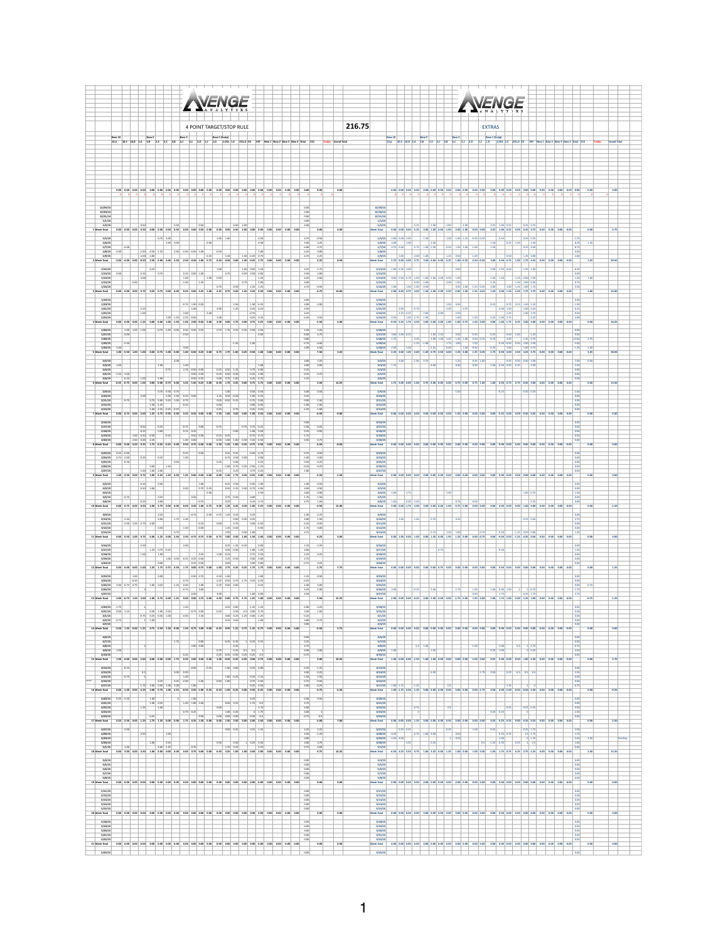| <b>NENGE</b>                                                                                                                                                                                                                                                                                                                                                                                                                                                                                                                                                                                                                                                                                                                                                                                                                                                                                                                                       | <b>NENGE</b>                                                                                                                                                                                                                                                                                                                                                                                                                                                                                                                         |
|----------------------------------------------------------------------------------------------------------------------------------------------------------------------------------------------------------------------------------------------------------------------------------------------------------------------------------------------------------------------------------------------------------------------------------------------------------------------------------------------------------------------------------------------------------------------------------------------------------------------------------------------------------------------------------------------------------------------------------------------------------------------------------------------------------------------------------------------------------------------------------------------------------------------------------------------------|--------------------------------------------------------------------------------------------------------------------------------------------------------------------------------------------------------------------------------------------------------------------------------------------------------------------------------------------------------------------------------------------------------------------------------------------------------------------------------------------------------------------------------------|
| 4 POINT TARGET/STOP RULE                                                                                                                                                                                                                                                                                                                                                                                                                                                                                                                                                                                                                                                                                                                                                                                                                                                                                                                           | 216.75<br><b>EXTRAS</b>                                                                                                                                                                                                                                                                                                                                                                                                                                                                                                              |
| Base 10<br>Base 1<br>10,4 10,5 10,8 5,4 5,8 5,1 5,2 5,6 3,6 3,6 3,6 3,6 1,6 1,6 1,9 1,90 1,900 1,8 900,0 1X VEF New1 New1 New1 New<br>Total \$10                                                                                                                                                                                                                                                                                                                                                                                                                                                                                                                                                                                                                                                                                                                                                                                                   | Base 10<br><b>Base 1 (Scale)</b><br>10,4 10,5 10,8 5,4 5,6 5,1 5,2 5,6 1,6 5,2 4,1 3,0 1,c 1,0 1,you 1,t you,b ex yes News is                                                                                                                                                                                                                                                                                                                                                                                                        |
|                                                                                                                                                                                                                                                                                                                                                                                                                                                                                                                                                                                                                                                                                                                                                                                                                                                                                                                                                    |                                                                                                                                                                                                                                                                                                                                                                                                                                                                                                                                      |
|                                                                                                                                                                                                                                                                                                                                                                                                                                                                                                                                                                                                                                                                                                                                                                                                                                                                                                                                                    |                                                                                                                                                                                                                                                                                                                                                                                                                                                                                                                                      |
|                                                                                                                                                                                                                                                                                                                                                                                                                                                                                                                                                                                                                                                                                                                                                                                                                                                                                                                                                    |                                                                                                                                                                                                                                                                                                                                                                                                                                                                                                                                      |
| 0.00 0.00 0.00 0.00 0.00 0.00 0.00 0.00 0.00 0.00 0.00 0.00 0.00 0.00 0.00 0.00 0.00 0.00 0.00 0.00 0.00 0.00<br>0.00                                                                                                                                                                                                                                                                                                                                                                                                                                                                                                                                                                                                                                                                                                                                                                                                                              | 0.00 0.00 0.00 0.00 0.00 0.00 0.00 0.00 0.00 0.00 0.00 0.00 0.00 0.00 0.00 0.00 0.00 0.00 0.00 0.00 0.00 0.00                                                                                                                                                                                                                                                                                                                                                                                                                        |
| 12/29/14<br>12/10/14<br>0.00<br>12/31/14<br>0.00                                                                                                                                                                                                                                                                                                                                                                                                                                                                                                                                                                                                                                                                                                                                                                                                                                                                                                   | 12/29/1<br>12/10/14<br>12/31/14                                                                                                                                                                                                                                                                                                                                                                                                                                                                                                      |
| 1/1/15<br>0.00<br>1/2/15<br>0.50<br>0.50<br>0.55<br>$0.50 - 2.00$<br>400<br>0.00 0.00 0.00 0.50 0.00 0.00 0.00 0.50 0.00 0.00 0.50 0.00 0.00 0.00 0.50 0.00 0.00 0.00 0.00 0.00 0.00<br>0.0<br>1 Week Total<br>0.00                                                                                                                                                                                                                                                                                                                                                                                                                                                                                                                                                                                                                                                                                                                                | 1/1/15<br>1/2/15<br>25.25<br>10 <sup>o</sup><br>$-1.00$<br>.1 <sub>m</sub><br>$0.25 - 1.00 - 0.25$<br>$0.25 - 0.25$<br>$-1.75$<br>4.00<br>0.00<br><b>Joek Total</b>                                                                                                                                                                                                                                                                                                                                                                  |
| $-0.75 - 3.00$<br>4.75<br>1/5/15<br>1.00 1.00<br>0.50<br>$-0.50$<br>1/6/15<br>$100$ $100$<br>0.50<br>5.00<br>4.25<br>0.50                                                                                                                                                                                                                                                                                                                                                                                                                                                                                                                                                                                                                                                                                                                                                                                                                          | $\begin{array}{ c c c c }\hline 2.00 & 2.00 & \\\hline \end{array}$<br>1/5/15<br>1.50<br>1.00 -1.00 -1.25 -0.50 -0.50<br>1/6/15<br>1.00<br>$-1.00$<br>$\begin{array}{ c c c c c } \hline 0.50 & 0.25 & 1.00 & 1.50 \\ \hline & 1.50 & 0.25 & 0.05 \\ & & \ddots & & & 0.25 & 0.50 \\ \hline \end{array}$<br>125<br>4.00<br>$0.50$ $1.50$ $1.00$ $-1.00$<br>5.75 1.00 -1.00                                                                                                                                                           |
| 1/7/15<br>$-4.00$<br>$-4.00$<br>$-1.75$<br>$-2.50$ 0.50 $-1.25$<br>2.50 -2.50 -0.50 1.00<br>1.00<br>$1/8/15$ -2.00<br>$-0.50$<br>$-4.25$<br>0.00<br>$\overline{\phantom{a}}$ 0.25<br>1.50 -0.25 0.75<br>$\begin{array}{ c c } \hline 1.50 \\ \hline \end{array}$<br>2.25<br>1/9/15<br>2.00 2.00<br>4.75<br>2 Week Total<br>-2.00 4.00 0.00 -0.50 2.50 -2.00 4.00 5.50 -2.50 -0.50 0.75 0.50 -0.50 0.00 1.50 -0.25 2.75 0.00 0.00 0.00 0.00<br>2.25                                                                                                                                                                                                                                                                                                                                                                                                                                                                                                 | 1/7/15<br>$0.75 - 2.00$<br>8.75<br>1/8/15<br>0.00<br>1.00 4.25 0.50 4.00<br>7.200<br>$\overline{\phantom{a}}$<br>1/9/15<br>5.50<br>Neek Total<br>2.75 -3.00 3.00 3.75 3.50 -2.00 0.00 0.25 3.00 -0.25 -2.50 -0.50<br>3.00 0.50 0.75 1.00 1.75 6.25 0.00 0.00 0.00 0.00<br>20.50<br>1.75                                                                                                                                                                                                                                              |
| - 1<br>1.00 0.50 1.50<br>1/12/15<br>0.25<br>1.00<br>4.25<br>$-1.75$<br>1/13/15<br>$0.25$ 0.00 1.00<br>$\frac{0.50}{4.25}$<br>$-0.50$ $0.50$ $0.00$<br>$\frac{2.00}{4.50}$                                                                                                                                                                                                                                                                                                                                                                                                                                                                                                                                                                                                                                                                                                                                                                          | 2.00 2.50 0.50<br>1/12/15<br>1.00 -2.50 1.00<br>0.00<br>$-1.25 - 1.00$<br>6.25<br>1/13/15<br>0.00 0.50 0.75 1.00 1.00 1.00 2.00 0.50 1.50<br>$-1.50 - 1.50$                                                                                                                                                                                                                                                                                                                                                                          |
| 1.00<br>$-1.25$<br>1/14/15<br>1.00<br>1/15/15<br>$\cdot1.00$<br>$1.25$<br>$\begin{array}{ c c c }\n\hline\n\text{0.75} & & & & \\ \hline\n\text{0.75} & & & & \\ \hline\n\text{2.25} & & & & \\ \hline\n\end{array}$<br>400<br>0.00<br>0.75<br>0.50<br>$-0.58$<br>1/16/15<br>4.75<br>0.00 0.00 0.00 0.75 0.25 0.25 0.00 0.00 0.25 0.00 2.25 1.00 2.25 0.75 0.50 1.25 2.25 4.50 0.00 0.00 0.00 0.00<br>$-4.75$<br>3 Week Total                                                                                                                                                                                                                                                                                                                                                                                                                                                                                                                      | 1/14/15<br>1/15/15<br>$-1.25$<br>1.50 2.00 0.50<br>9.75<br>2.00<br>1/16/15<br>5.50<br>13.00<br>$\overline{\circ}$<br>24.00                                                                                                                                                                                                                                                                                                                                                                                                           |
| 1/19/15<br>0.0<br>1/20/15<br>$-0.75$ 1.50 $-0.50$<br>$-2.00$                                                                                                                                                                                                                                                                                                                                                                                                                                                                                                                                                                                                                                                                                                                                                                                                                                                                                       | 2.00 2.00 4.75 4.00 1.50 1.00 2.00 2.50 -2.00 1.00 -1.25 0.25 1.25 4.00 1.50 -1.00 1.75 3.75 0.00 0.00 0.00<br>Feek Total<br>1/19/15<br>0.50<br>$-0.25$<br>$5 - 0.25 - 1.00 - 1.2$                                                                                                                                                                                                                                                                                                                                                   |
| 4.00<br>1/21/15<br>$-2.25$<br>$\begin{array}{c c}\n & -2.30 \\ \hline\n & 1.00 \\ \hline\n & 2.00\n\end{array}$<br>125<br>0.25 0.25<br>4.50<br>$\begin{array}{ c c c }\n\hline\n2.00 & & \\ \hline\n-1.00 & & \\\hline\n\end{array}$<br>1/22/15<br>1.00<br>4.25<br>-<br>1.00 -1.50 -2.25 -0.50<br>1/23/15<br>$-0.25$ 0.25<br>$-4.25$<br>$-1.50$                                                                                                                                                                                                                                                                                                                                                                                                                                                                                                                                                                                                    | $\begin{array}{ c c c c c }\hline 2.05 & 2.00 & 0.75 \\ \hline & 2.00 & 1.00 & 4.50 \\ \hline \end{array}$<br>1/21/15<br>2.00<br>$-0.75$<br>$1.00 \times 25$<br>6.25<br>1/22/15<br>  125   0.25 $\,$<br>$-425$<br>$1.00$ 3.75<br>1/23/15<br>$150 - 2.75$<br>1.00<br>1.00<br>1.50<br>4.00<br>0.25                                                                                                                                                                                                                                     |
| 0.00 0.00 0.00 1.25 0.00 0.00 1.00 1.50 1.00 2.00 0.50 2.00 2.00 0.00 0.00 0.75 0.00 0.75 0.25 0.00 0.00 0.00<br>eek Total<br>$-5.50$<br>en per per primer en<br>as is as as an an<br>$100$ $100$ $100$<br>2.25<br>1/26/15<br>250                                                                                                                                                                                                                                                                                                                                                                                                                                                                                                                                                                                                                                                                                                                  | 4.50 5.25 1.75 4.50 3.00 4.00 1.00 1.00 4.75 1.50 0.00 4.00 4.00 1.75 6.25 3.00 3.00 4.00 4.00 4.00 4.00<br>3.00<br>leek Total<br>18.23<br>1/26/15<br>$\overline{\phantom{a}}$                                                                                                                                                                                                                                                                                                                                                       |
| $-6.00$<br>1/27/15<br>$-4.00$<br>$-2.50$<br>0.50<br>4.75<br>1/28/15<br>0.00<br>$-4.00$<br>1/29/15<br>$-2.50$<br>$-1.00$<br>$-4.75$<br>$-1.25$<br>1/20/15<br>$\overline{10}$<br>4.00<br>4.50<br>10                                                                                                                                                                                                                                                                                                                                                                                                                                                                                                                                                                                                                                                                                                                                                  | $\begin{tabular}{ c c c c c c c c c c c } \hline & 1.00 & 1.50 & 0.50 & 0.25 & 0.25 \\ \hline & 2.00 & 1.00 & 1.25 & 1.25 & 1.00 & 0.50 & 0.25 & 0.75 \\ \hline \end{tabular}$<br>1/27/15<br>3.00 2.00 0.25<br>0.50 2.00<br>9.50<br>1/28/15<br>$1.75 \qquad \qquad 1.25$<br>1350<br>125 0.75<br>12.00<br>$\begin{array}{ c c c c c c c } \hline 4.25 & 4.00 & & 4.75 & 1.00 & & 1.00 \\ \hline 0 & & 4.23 & & 0.00 & & 1.00 & 0.50 \\ \hline \end{array}$<br>1/29/15<br>0.50 0.50 0.50 2.00 2.50<br>5.00<br>≒≖<br>1/10/15<br>$-1.25$ |
| 1.00 4.50 1.00 0.00 0.00 4.75 1.00 4.00 1.00 4.50 0.25 0.00 0.75 1.75 1.00 0.25 4.00 0.00 0.00 0.00 0.00 0.00<br>5 Week Total<br>7.50<br>2/2/15<br>7.25<br>4.00<br>4.0                                                                                                                                                                                                                                                                                                                                                                                                                                                                                                                                                                                                                                                                                                                                                                             | 28.50<br>3.25<br>Neek Total<br>2.25 2.00 1.25 2.00 -1.00 0.75 2.50 -3.00 2.25 2.00 1.25 0.25 -1.75 0.50 4.50 2.50 4.25 2.75 0.00 0.00 0.00 0.00<br>1.25<br>2/2/1<br>$-1.00$ 0.75<br>$0.25$ 1.00                                                                                                                                                                                                                                                                                                                                      |
| 1.00<br>$2/3/15$ 1.00<br>1.00<br>1.00<br>4.00<br>0.00<br>$\Box$<br>$2.25$ 0.50 0.50<br>$0.50 - 1.25$<br>2/4/15<br>:  0.00<br>0.25<br>2/5/15<br>$-1.25 - 1.00$<br>$-0.50$ 0.50<br>$-0.25$ 0.50 0.50<br>$-0.25$ 2.00<br>0.25<br>$-1.75$<br>2/6/15                                                                                                                                                                                                                                                                                                                                                                                                                                                                                                                                                                                                                                                                                                    | $-2.05$<br>2/3/15<br>1.75<br>0.50<br>0.50<br>1.00 0.50 0.50 0.25<br>2.50<br>5.50<br>2/4/15<br>$\overline{\phantom{a}}$<br>2/5/15<br>0.00<br>2/6/15<br>0.00                                                                                                                                                                                                                                                                                                                                                                           |
| 2.25<br>1.50<br><b>G</b> Week Total<br>0.75 0.50 0.75<br>0.50 0.50<br>2/9/15<br>4.00<br>$-2.50$                                                                                                                                                                                                                                                                                                                                                                                                                                                                                                                                                                                                                                                                                                                                                                                                                                                    | 14.25<br>1.75 5.00 0.00 -1.00 0.75 -2.00 0.00 0.00 -0.75 0.00 0.75 1.00<br>11.50<br>0.00<br>Veek Total<br>2/9/15<br>$-1.50$<br>$-0.25$<br>$-0.50$ 0.25<br>$-2.00$                                                                                                                                                                                                                                                                                                                                                                    |
| 2/10/15<br>2.00<br>$-100 - 150 - 0.25 - 0.50$<br>$-1.25$ 0.50 0.50<br>$-1.00$ 0.25<br>$-1.25$<br>2/11/15<br>0.75 -2.00 0.25 1.00 0.75<br>0.75<br>0.00 0.50 0.25<br>$-0.75$ 0.00<br>0.00<br>$-1.50$<br>2/12/15<br>$\begin{array}{ c c c c c }\hline 1.50 & 1.25 & \text{0.25} \\ \hline -1.00 & 2.25 & 0.25 & 0.25 \\ \hline \end{array}$<br>$\frac{-0.50}{0.25}$<br>0.00 0.50<br>$-1.00$<br>$-1.50$<br>$\frac{1}{2}$<br>0.25 0.25                                                                                                                                                                                                                                                                                                                                                                                                                                                                                                                  | 2/10/15<br>0.00<br>2/11/15<br>0.00<br>2/12/15                                                                                                                                                                                                                                                                                                                                                                                                                                                                                        |
| 2/13/15<br>2.25<br>7 Week Total<br>$-6.50$<br>2/16/15<br>0.00                                                                                                                                                                                                                                                                                                                                                                                                                                                                                                                                                                                                                                                                                                                                                                                                                                                                                      | 2/13/15<br>$-9.00$<br>Neek Total<br>0.00 0.00 0.00 0.00 0.00 0.00 0.00 0.00 -1.50 0.00 0.00 0.00<br>$0.00$ $0.25$ 0.00<br>0.00 -0.50 0.25 0.00 0.00<br>0.00 0.00<br>$-2.00$<br>2/16/15<br>0.00                                                                                                                                                                                                                                                                                                                                       |
| 2/17/15<br>$-0.25$<br>$-2.50$<br>0.21<br>2/18/15<br>0.25<br>0.00<br>$0.25$ 0.25<br>0.00<br>$-1.00$ 0.50<br>0.25<br>$-0.50$<br>a.<br>$-0.25 - 0.25$<br>2/19/15<br>$-100$ 0.50 $-0.50$<br>$\begin{array}{ c c } \hline 0.25 \end{array}$<br>0.50 -0.50<br>$-1.75$                                                                                                                                                                                                                                                                                                                                                                                                                                                                                                                                                                                                                                                                                    | 2/17/15<br>0.00<br>2/18/15<br>0.00<br>2/19/15                                                                                                                                                                                                                                                                                                                                                                                                                                                                                        |
| $1.00 \t 0.00$<br>-0.50 -1.00 1.00 0.50 0.25 0.50<br>$-2.50$ 0.00 2.25<br>$-1.75$<br>2/20/15<br>0.50<br>0.00 0.00 3.50 0.25 1.75 3.25 3.25 0.00 0.50 0.75 3.50 0.00 1.50 1.25 1.00 3.25 3.75 0.50 0.00 0.00 0.00 0.00<br>$-4.50$<br>leek Total<br>$0.25 - 0.25$                                                                                                                                                                                                                                                                                                                                                                                                                                                                                                                                                                                                                                                                                    | 2/20/15<br>$-0.00$<br>$0.00$ 0.00 0.00 0.00<br>0.00 0.00 0.00 0.00 0.00 0.00 0.00 0.00<br>0.000000000000<br>$0.00$ $0.00$ $0.00$ $0.00$<br>0.00<br>0.00<br>0.00<br><b>Jeek Total</b><br>0.00                                                                                                                                                                                                                                                                                                                                         |
| 0.25<br>2/23/15<br>$0.25 - 0.00$<br>$-0.50$<br>$-0.50$ $0.75$<br>0.75<br>0.50<br>$-0.25$<br>$\boxed{0.75}$ $0.50$ $\boxed{0.00}$ $\boxed{0.00}$<br>2/24/15<br>$0.75 - 2.00$<br>$-0.25$<br>1.00<br>$-1.00$<br>$-3.00$<br>0.25<br>0.50<br>2/25/15<br>$-0.50$<br>0.00<br>0.25<br>0.50<br>0.25<br>2/26/15<br>$-1.00$ 0.75 0.25 0.50 -1.25<br>$0.25$<br>1.50<br>$-0.25$                                                                                                                                                                                                                                                                                                                                                                                                                                                                                                                                                                                 | 2/23/1<br>0.00<br>2/24/15<br>0.00<br>2/25/15<br>0.00<br>2/26/15<br>0.00                                                                                                                                                                                                                                                                                                                                                                                                                                                              |
| 2/27/15<br>1.00<br>$1.00 - 2.00$<br>$-0.25$<br>0.25<br>0.75 0.25<br>1.00<br>$^{12}$<br>eek Total<br>1.00 -2.50 0.00 0.75 1.00 -2.25 1.50 0.50 1.25 0.00 0.50 0.00 0.00 -1.50 1.75 0.25 0.25 0.00 0.00 0.00 0.00<br>$\overline{a}$                                                                                                                                                                                                                                                                                                                                                                                                                                                                                                                                                                                                                                                                                                                  | 2/27/15<br>0.00<br>$-1.50$<br>eek Total<br>0.00 0.00 0.00 0.00 0.00 0.00 0.00 0.00 0.00<br>0.00 0.00 0.00<br>0.01                                                                                                                                                                                                                                                                                                                                                                                                                    |
| $-0.25$<br>$\frac{1}{1}$<br>$\overline{a}$<br>$\frac{1}{2}$<br>$\frac{1.00}{4.00}$<br>$\overline{a}$<br>$0.75$ 0.25<br>0.50 0.25 0.50 0.75 0.00<br>3/3/15<br>0.50 2.00<br>0.50<br>3/4/15<br>$\frac{1}{2}$ 0.50<br>1.50<br>4.00<br>0.00<br>0.50<br>0.75 -0.50<br>0.25<br>3/5/15<br>0.75<br>1.75<br>$-1.50$                                                                                                                                                                                                                                                                                                                                                                                                                                                                                                                                                                                                                                          | 3/2/1<br>3/3/15<br>0.00<br>3/4/15<br>1.00<br>$-1.75$<br>$-1.00$<br>$1.00 - 0.75$<br>$-1.50$<br>3/5/15                                                                                                                                                                                                                                                                                                                                                                                                                                |
| Tax<br>0.25 0.75<br>3/6/15<br>0.25<br>0.25<br>4.75<br>1.00<br>4.00<br>0.00 0.75 0.00 0.50 2.00 3.75 0.00 0.00 0.00 0.50 1.00 0.75 0.00 1.25 0.25 0.50 1.00 5.25 0.00 0.00 0.00 0.00<br>10 Week Total<br>$-0.50$                                                                                                                                                                                                                                                                                                                                                                                                                                                                                                                                                                                                                                                                                                                                    | $n =$<br>55<br>3/6/15<br>$\overline{1}$<br>$\overline{\phantom{a}}$<br>20.75<br>0.00<br>15.00<br>$-1.50$<br>Veek Total                                                                                                                                                                                                                                                                                                                                                                                                               |
| $\overline{\phantom{a}}$ as<br>0.50 -0.75 1.25 0.25<br>$-0.75$<br>$-2.21$<br>3/9/1<br>$1.75$ 1.00<br>3/10/15<br>2.50<br>$-2.00$<br>$\begin{array}{ c c c c c } \hline &0.00 & 0.50 & 0.25 \\ \hline & 0.75 & 0.00 & 0.50 \\ \hline \end{array}$<br>4.00<br>1.50<br>$-0.25$<br>$4.25$<br>3/11/15<br>$-2.00 \quad 1.00 \quad 0.75 \quad -2.00$<br>0.50<br>-                                                                                                                                                                                                                                                                                                                                                                                                                                                                                                                                                                                          | 3/9/15<br>3/10/15<br>1.00<br>1.00<br>0.75<br>0.25<br>$-0.75$ 0.50<br>2.75<br>3/11/15                                                                                                                                                                                                                                                                                                                                                                                                                                                 |
| 1.50<br>3/12/15<br>0.50<br>$-0.50$<br>125 -0.50<br>$-0.50$<br>1.75<br>$-3.00$<br>3/13/15<br>2.50<br>$-4.75$<br>11 Week Total<br>0.00 0.50 -1.00 0.75 -2.00 -1.25 0.00 2.50 -2.50 -0.75 0.75 0.50 -0.75 5.00 0.50 0.50 1.00 1.50 -1.00 0.00 0.00 0.00 0.00<br>$-4.25$                                                                                                                                                                                                                                                                                                                                                                                                                                                                                                                                                                                                                                                                               | 3/12/15<br>0.00<br>3/13/15<br>1.25<br>3.00<br><b>Week Total</b><br>0.00 1.00 0.00 1.00 0.00 1.50 0.00 1.50 1.25 0.00 0.00 4.75 0.00 4.50 0.00 1.25 4.25 0.50 0.00 0.00 0.00 0.00<br>4.00                                                                                                                                                                                                                                                                                                                                             |
| $0.25$ 1.25 $-0.25$<br>3/16/15<br>2.00<br>125<br>$-2.25$<br>$-2.00$<br>3/17/15<br>125 075 025<br>$0.50 - 0.50$<br>1.00 1.25<br>400<br>3/18/15<br>0.25<br>$-1.00 - 0.25$<br>0.75 0.50<br>2.25<br>1.00<br>1.00<br>0.25                                                                                                                                                                                                                                                                                                                                                                                                                                                                                                                                                                                                                                                                                                                               | 3/16/15<br>3/17/15<br>0.75<br>0.50<br>1.25<br>3/18/15<br>0.00                                                                                                                                                                                                                                                                                                                                                                                                                                                                        |
| 100 050 025 025 050<br>3/19/15<br>$2.25 - 0.50$<br>$0.00 - 0.00$<br>2.75<br>3/20/15<br>$-0.25 - 0.50$<br>0.00<br>0.00 0.00<br>$-0.75$<br>0.25<br>0.00 0.00 0.00 -1.00 1.25 1.75 0.75 0.50 1.75 0.00 0.75 0.00 -1.00 2.75 0.25 0.25 1.75 1.75 0.00<br>12 Week Total<br>0.00 0.00<br>0.00<br>$-1.75$                                                                                                                                                                                                                                                                                                                                                                                                                                                                                                                                                                                                                                                 | 3/19/15<br>0.00<br>3/20/15<br>0.00<br>7.75<br>Feek Total<br>0.00 0.50 0.00<br>$1.25\,$<br>0.00 0.00 0.00 0.00 0.00 0.00<br>0.00                                                                                                                                                                                                                                                                                                                                                                                                      |
| $0.50 - 1.00$<br>1.00<br>3/23/15<br>1.00<br>$-3.00$<br>$-0.50$ $0.75$<br>$-1.25$<br>$-0.50$<br>3/24/15<br>$-0.25$<br>0.25<br>3/25/15<br>3.00 -0.75 0.75<br>$-1.00$ 0.25<br>$-1.25 - 0.00$<br>1.00<br>0.25 -0.50 0.00<br>$\boxed{0.25}$<br>1.50<br>5.00                                                                                                                                                                                                                                                                                                                                                                                                                                                                                                                                                                                                                                                                                             | 3/23/15<br>0.00<br>3/24/1<br>0.00<br>3/25/15<br>0.00<br>$-0.7$                                                                                                                                                                                                                                                                                                                                                                                                                                                                       |
| 3/26/15<br>$-0.75$<br>1.00<br>5.25<br>1.00<br>3/27/15<br>0.50<br>1.00 0.00<br>4.50<br>3.00<br>3.00 4.75 1.50 3.00 4.00 4.75 4.00 4.25 4.00 4.00 4.75 4.00 4.00 4.00 4.25 4.75 4.75 1.25 1.00 4.00 4.00 4.00 4.00<br>5.50<br>13 Week Total                                                                                                                                                                                                                                                                                                                                                                                                                                                                                                                                                                                                                                                                                                          | 3/26/15<br>$-0.25$<br>$-1.00$<br>1.00 0.00 1.00<br>$-1.75$<br>3/27/15<br>0.51<br>1.75<br>$-0.25$ 1.75<br>1.75<br>15.25<br>2.00 0.00 0.00 0.25 0.00 1.00 0.00 0.00 1.75 0.00 1.50 0.00 1.00 1.75 1.00 0.200 1.75 1.00 0.00 0.00 0.00 0.00<br>1.25<br>ek Total<br>-4.75                                                                                                                                                                                                                                                                |
| $1.00$ $1.00$ $0.25$ 0.00<br>$-1.25 - 1.25$<br>3/20/15<br>$-1.75$<br>$-2.00$<br>$-2.25$                                                                                                                                                                                                                                                                                                                                                                                                                                                                                                                                                                                                                                                                                                                                                                                                                                                            | 3/30/1<br>0.00<br>3/31/15<br>0.00<br>0.00                                                                                                                                                                                                                                                                                                                                                                                                                                                                                            |
| 14 Week Total 3.50 1.25 0.00 1.25 0.75 0.50 1.50 0.00 1.50 0.75 2.00 0.00 0.25 0.50 1.25 0.75 0.75 0.75 0.00 0.00 0.00 0.00<br>$-0.50$                                                                                                                                                                                                                                                                                                                                                                                                                                                                                                                                                                                                                                                                                                                                                                                                             | 4/1/15<br>4/2/15<br>__________<br>4/3/15<br>0.00<br>1.75<br>Veek Total<br>0.00                                                                                                                                                                                                                                                                                                                                                                                                                                                       |
| 4/6/15<br>0 <sup>0</sup><br>4/7/15<br>0.25                                                                                                                                                                                                                                                                                                                                                                                                                                                                                                                                                                                                                                                                                                                                                                                                                                                                                                         | 4/6/15<br>4/7/15<br>0.00                                                                                                                                                                                                                                                                                                                                                                                                                                                                                                             |
| $\begin{array}{c c c c c} \hline \multicolumn{1}{c }{\textbf{1.75}} \\ \hline \multicolumn{1}{c }{\textbf{2.75}} \\ \hline \multicolumn{1}{c }{\textbf{3.75}} \\ \hline \multicolumn{1}{c }{\textbf{4.75}} \\ \hline \multicolumn{1}{c }{\textbf{5.75}} \\ \hline \multicolumn{1}{c }{\textbf{6.75}} \\ \hline \multicolumn{1}{c }{\textbf{7.75}} \\ \hline \multicolumn{1}{c }{\textbf{8.75}} \\ \hline \multicolumn{1}{c }{\textbf{9.75$<br>$\frac{4}{9/15}$<br>$\begin{tabular}{ c c c c c c c c c c } \hline & $\omega \& $0.25$ & $0.25$ & $1$ & $0.25$ & $0.25$ \\ \hline & $2.00$ & $0.25$ & $0.25$ & $0.25$ & $0.25$ \\ \hline & $0.25$ & $0.25$ & $0.25$ & $0.5$ & $1$ \\ \hline & $0.25$ & $0.25$ & $0.25$ & $1$ \\ \hline \end{tabular}$<br>$\frac{4.75}{4.00}$<br>1.00<br>2.00<br>4/10/15<br>$-0.75$<br>2.00<br>IS Week Total 2.00 0.00 0.00 2.00 0.00 0.00 0.00 1.75 0.25 2.00 0.00 0.00 0.00 0.00 0.25 0.00 0.75 0.00 0.00 0.00 0.00 | $\begin{array}{ c c c }\hline 4.5 & 1.00 & \\ \hline & 1.00 & \\ \hline \end{array}$<br>$\begin{tabular}{ c c c c c c c c c } \hline & -1.00 & & 1.00 & & 0.5 & 1 & 1.7.75 \\ \hline & 0.25 & 1.00 & & & 0 & 0.25 \\ \hline \end{tabular}$<br>4/8/15<br>1.00<br>4/9/15<br>$0$ 0.25<br>1.50<br>4/10/15<br>0.00<br>10.25<br>2.75<br>Veek Total                                                                                                                                                                                         |
| 4/13/15<br>$0.25$ 0.00<br>$-0.25$<br>$-2.25$<br>$-1.25$<br>4/14/15<br>$\begin{tabular}{ c c c c } \hline & \quad \quad & \quad \quad & \quad \quad & \quad \quad & \quad \quad \\ \hline \hline \quad & \quad \quad & \quad \quad & \quad \quad & \quad \quad \\ \hline \end{tabular}$<br>$\overline{\phantom{a}}$ $\overline{\phantom{a}}$ $\overline{\phantom{a}}$ $\overline{\phantom{a}}$ $\overline{\phantom{a}}$ $\overline{\phantom{a}}$ $\overline{\phantom{a}}$ $\overline{\phantom{a}}$ $\overline{\phantom{a}}$ $\overline{\phantom{a}}$ $\overline{\phantom{a}}$ $\overline{\phantom{a}}$ $\overline{\phantom{a}}$ $\overline{\phantom{a}}$ $\overline{\phantom{a}}$ $\overline{\phantom{a}}$ $\overline{\phantom{a}}$ $\overline{\phantom{a}}$ $\overline{\$<br>4.00<br>$-0.25$                                                                                                                                                       | 4/13/15<br>0.00<br>$\frac{4/14/15}{4/15/15}$<br>1200<br>$-1.75$<br>0.50<br>$\boxed{0.25}$<br>-as as as<br>$\frac{4.50}{0.00}$                                                                                                                                                                                                                                                                                                                                                                                                        |
| $-1.50$<br>$-2.75$<br>$-0.50$<br>4.00<br>$-0.25$                                                                                                                                                                                                                                                                                                                                                                                                                                                                                                                                                                                                                                                                                                                                                                                                                                                                                                   | $\begin{array}{ c c c }\hline \quad \quad & \quad \quad & \quad \quad & \quad \quad \\ \hline \quad \quad & \quad \quad & \quad \quad & \quad \quad \\ \hline \end{array}$<br>4/16/15<br>$\sqrt{200}$<br>$1.00 - 1.75 = -4.25$<br>___<br>4/17/15<br>$-4.75$<br>$1.00 - 1.75$ a.rs a.co -1.25 a.oo -2.00 a.co -3.00 a.co -3.00 a.oo -3.00 a.co -1.75 a.so -3.00 -3.00 a.co -3.00 a.co -3.00 a.oo -3.00 a.oo                                                                                                                           |
| $-3.75$<br>$\frac{1}{2}$ 1.00<br>$\overline{\phantom{0}}$<br>and the state<br>$\begin{array}{ c c c c }\hline &1.00& &\\ \hline &1.00& 0.25& \\\hline \end{array}$<br>$\begin{array}{ c c c c }\hline 2 & 1.00 & \\ \hline & 1.00 & 1.00 & 1.00 \\ \hline \end{array}$<br>4/20/15 0.25 -2.50<br>$-2.00$<br>$-3.50$<br>$0.50 - 3.25$<br>$-1.75 - 0.5$<br>4/21/15<br>1.75                                                                                                                                                                                                                                                                                                                                                                                                                                                                                                                                                                            | $-2.25$<br>Neek Total<br>$-0.25$<br>4/20/15<br>0.00<br>4/21/15<br>0.00                                                                                                                                                                                                                                                                                                                                                                                                                                                               |
| 4/22/15<br>4.00<br>$\begin{tabular}{ c c } \hline & 1.75 \\ \hline 0 & 1.75 \\ \hline 0.50 & 4.5 \\ \hline \end{tabular}$<br>4/23/15<br>400<br>4/24/15<br>$-0.75$<br>0.5                                                                                                                                                                                                                                                                                                                                                                                                                                                                                                                                                                                                                                                                                                                                                                           | 4/22/15<br>$-0.25$ 0.25<br>$-0.75$<br>0.25<br>0.00<br>4/23/15<br>250<br>4/24/15<br>0.00                                                                                                                                                                                                                                                                                                                                                                                                                                              |
| 0.25 0.26 0.00 1.25 1.25 1.25 0.00 2.00 1.25 0.25 1.50 0.00 0.00 0.00 1.50 2.50 0.00 2.50 0.00 0.00 0.00 0.00<br>17 Week Total<br>$-2.00$<br>$\sim$ $\sim$ $\sim$ $\sim$<br>4/27/15<br>0.50 0.25<br>0.25 1.25<br>2.00<br>2.25<br>4.25<br>1.50<br>100<br>4/28/15<br>4.50<br>$-1.25$                                                                                                                                                                                                                                                                                                                                                                                                                                                                                                                                                                                                                                                                 | 7.00<br>Veek Total<br>2.50<br>$\overline{\phantom{a}}$<br>$\frac{1}{2}$ as<br>$\overline{\phantom{0}}$<br>$\overline{\phantom{a}}$<br>$0.25 - 1.75$<br>4/27/15<br>0.25 0.25<br>$-0.25$<br>1.00<br>150<br>$\frac{1}{\cos \alpha}$<br>4/28/15<br>1.75                                                                                                                                                                                                                                                                                  |
| ட<br>$\overline{\phantom{0}}$<br>4/29/15<br>0.00<br>$100$ 0.25<br>$\begin{array}{ c c c c c }\n\hline\n\text{0.50} & \text{1} & \text{0.25} & \text{0.50}\n\end{array}$<br>4/10/15<br>3.75<br>4.00<br>0.75<br>1.00<br>$-2.00 - 1.25$<br>175 0.25<br>5/1/15<br>0.25<br>0.75<br>$-4.00$                                                                                                                                                                                                                                                                                                                                                                                                                                                                                                                                                                                                                                                              | $\,$ 1.5 $\,$ 4.75 $\,$<br>$4/29/15$ -2.25 4.00<br>1.00<br>$0$ 1.25<br>5.50<br>Fed Day<br>$\sim$<br>$0.5$ $-1.25$ $0.50$<br>$0.25 - 1 - 2.5$<br>4/10/15<br>$\vert$ 125<br>12.00<br>5/1/15<br>0.00                                                                                                                                                                                                                                                                                                                                    |
| 0.00 0.00 0.00 0.00 0.00 0.00 0.00 0.00 0.00 0.00 0.00 0.00 0.00 0.00 0.00 0.00 0.00 0.00 0.00 0.00<br>0.75<br>eek Total<br>5/4/15<br>0.00                                                                                                                                                                                                                                                                                                                                                                                                                                                                                                                                                                                                                                                                                                                                                                                                         | 4.50 4.25 3.50 6.75 3.00 3.25 6.00 1.25 3.00 6.00 1.00 6.50 4.50 4.50 3.75 6.75 6.25 4.25 6.00 6.00<br>14.25<br>Veek Total<br>15.25<br>0.00<br>5/4/15<br>$\overline{000}$                                                                                                                                                                                                                                                                                                                                                            |
| 5/5/15<br>0.00<br>5/6/15<br>0.00<br>0.00<br>5/7/15<br>5/8/15<br>0.00                                                                                                                                                                                                                                                                                                                                                                                                                                                                                                                                                                                                                                                                                                                                                                                                                                                                               | 5/5/15<br>0.00<br>5/6/15<br>0.00<br>$\sqrt{200}$<br>5/7/15<br>5/8/15<br>0.00                                                                                                                                                                                                                                                                                                                                                                                                                                                         |
| 19 Week Total<br>000 000 000 000 000 000 000 000 000 000 000 0.00 0.00 0.00 0.00 0.00 0.00 0.00 0.00<br>0.00<br>0.01<br>5/11/15<br>0.00                                                                                                                                                                                                                                                                                                                                                                                                                                                                                                                                                                                                                                                                                                                                                                                                            | Neek Total<br>0.00 0.00 0.00 0.00 0.00 0.00 0.00 0.00 0.00 0.00 0.00 0.00 0.00 0.00 0.00 0.00 0.00 0.00 0.00<br>0.00<br>0.01<br>0.00<br>0.00<br>5/11/15<br>0.00                                                                                                                                                                                                                                                                                                                                                                      |
| 5/12/15<br>0.00<br>5/13/15<br>0.00<br>5/14/15<br>0.00                                                                                                                                                                                                                                                                                                                                                                                                                                                                                                                                                                                                                                                                                                                                                                                                                                                                                              | 5/12/15<br>0.00<br>5/13/15<br>$\sim$<br>5/14/15<br>0.00                                                                                                                                                                                                                                                                                                                                                                                                                                                                              |
| 5/15/15<br>0.00<br>0.00 0.00 0.00 0.00 0.00 0.00 0.00 0.00 0.00 0.00 0.00 0.00 0.00 0.00 0.00 0.00 0.00 0.00 0.00 0.00 0.00<br>20 Week Total<br>5/18/15<br>0.00                                                                                                                                                                                                                                                                                                                                                                                                                                                                                                                                                                                                                                                                                                                                                                                    | 5/15/15<br>0.00<br>$\overline{\phantom{a}}$<br>000 000 000 000 000 000 000 000 000 000 000 000 000 000 000 000 000 000 000 000 000 000<br>$\overline{0.00}$<br>Veek Total<br>5/18/15<br>0.00                                                                                                                                                                                                                                                                                                                                         |
| 5/19/15<br>0.00<br>5/20/15<br>0.00<br>5/21/15<br>0.00                                                                                                                                                                                                                                                                                                                                                                                                                                                                                                                                                                                                                                                                                                                                                                                                                                                                                              | 5/19/15<br>0.00<br>5/20/15<br>0.00<br>5/21/15<br>0.00                                                                                                                                                                                                                                                                                                                                                                                                                                                                                |
| 5/22/15<br>0.00<br>0.00 0.00 0.00 0.00 0.00 0.00 0.00 0.00 0.00 0.00 0.00 0.00 0.00 0.00 0.00 0.00 0.00 0.00 0.00 0.00 0.00<br>21 Week Total<br>0.00<br>5/25/15<br>0.00                                                                                                                                                                                                                                                                                                                                                                                                                                                                                                                                                                                                                                                                                                                                                                            | 5/22/15<br>0.00<br>000 000 000 000 000 000 000 000 000 000 000 000 000 000 000 000 000 000 000 000 000 000<br>0.00<br>0.00<br>0.00<br>Week Total<br>5/25/15<br>0.00                                                                                                                                                                                                                                                                                                                                                                  |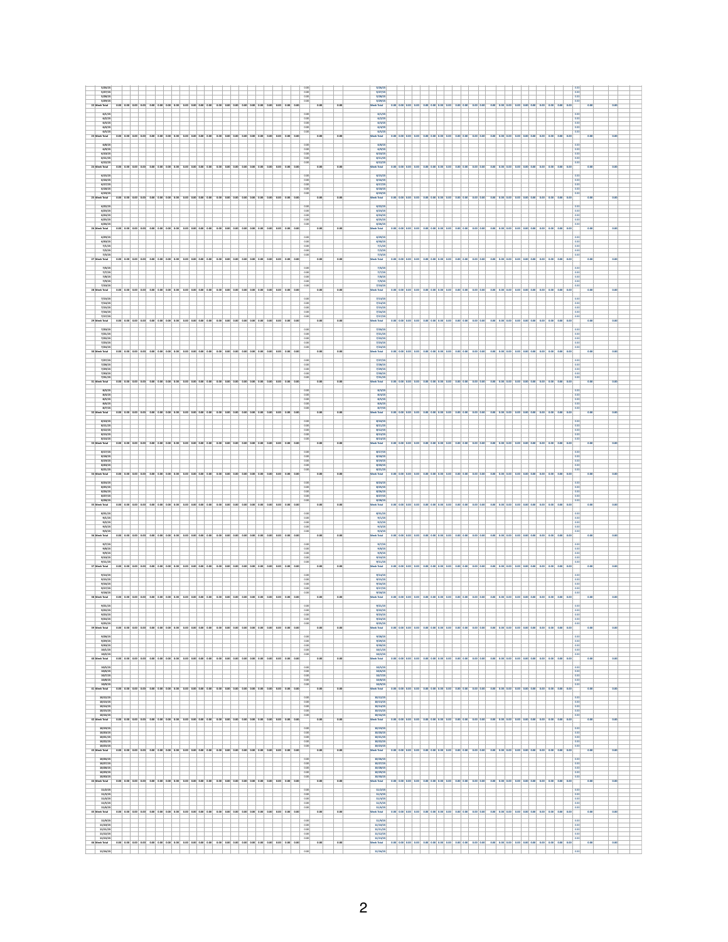| 5/26/15                                                                                                          |                                                                                                                                         | 5/26/15                                                                                                                                                                                      |
|------------------------------------------------------------------------------------------------------------------|-----------------------------------------------------------------------------------------------------------------------------------------|----------------------------------------------------------------------------------------------------------------------------------------------------------------------------------------------|
| 5/27/15<br>5/28/15                                                                                               | 0.00<br>0.00                                                                                                                            | 5/27/15<br>5/28/15<br>0.00                                                                                                                                                                   |
| 5/29/15<br>$0.00$ $0.00$ $0.00$<br>0.00 0.00 0.00 0.00 0.00 0.00 0.00 0.00 0.00                                  | 0.00<br>0.00 0.00 0.00 0.00 0.00 0.00 0.00 0.00<br>0.01<br>0.00<br>0.00                                                                 | 5/29/15<br>0.00<br>0.00 0.00 0.00 0.00 0.00<br>0.00 0.00<br>0.00 0.00<br>0.08                                                                                                                |
| 22 Week Total                                                                                                    |                                                                                                                                         | Week Total<br>$0.00$ 0.00 0.00                                                                                                                                                               |
| 6/1/15<br>6/2/15                                                                                                 | 0.00<br>0.00                                                                                                                            | 6/1/15<br>6/2/15<br>0.00                                                                                                                                                                     |
| 6/3/15<br>6/4/15                                                                                                 | 0.00<br>0.00                                                                                                                            | 6/3/15<br>0.00<br>6/4/15<br>0.00                                                                                                                                                             |
| 6/5/15                                                                                                           | $\frac{1}{2}$ 0.00                                                                                                                      | 6/5/15                                                                                                                                                                                       |
| 23 Week Total                                                                                                    | 0.00 0.00 0.00 0.00 0.00 0.00 0.00 0.00 0.00 0.00 0.00 0.00 0.00 0.00 0.00 0.00 0.00 0.00 0.00 0.00 0.00<br>0.00<br>0.00                | Week Total<br>0.00 0.00 0.00 0.00 0.00 0.00 0.00 0.00 0.00 0.00 0.00 0.00 0.00 0.00 0.00 0.00 0.00 0.00 0.00 0.00 0.00 0.00<br>0.00                                                          |
| 6/8/15                                                                                                           | 0.00                                                                                                                                    | 6/8/15<br>0.00                                                                                                                                                                               |
| $\frac{6}{9/15}$<br>6/11/15                                                                                      | $\frac{0.00}{0.00}$<br>0.00                                                                                                             | $\frac{6/9/15}{6/10/15}$<br>6/11/15<br>0.00                                                                                                                                                  |
| 6/12/15                                                                                                          | 0.00                                                                                                                                    | 6/12/15<br>0.00                                                                                                                                                                              |
| 24 Week Total                                                                                                    | 0.00<br>0.00                                                                                                                            | Week Total<br>$0.00$ 0.00 0.00<br>0.00 0.00 0.00 0.00 0.00 0.00 0.00 0.00 0.00<br>000 000 000<br>$0.00$ $0.00$ $0.00$<br>$0.00$ 0.00 0.00<br>0.00<br>0.00                                    |
| 6/15/15                                                                                                          | 0.00                                                                                                                                    | 6/15/1                                                                                                                                                                                       |
| 6/16/15<br>6/17/15                                                                                               | 0.00                                                                                                                                    | 6/16/15<br>6/17/15<br>0.00                                                                                                                                                                   |
| 6/18/15<br>6/19/15                                                                                               | 0.00<br>0.00                                                                                                                            | 6/18/15<br>0.00<br>6/19/15<br>0.00                                                                                                                                                           |
| 25 Week Total<br>0.00 0.00 0.00<br>0.00 0.00 0.00 0.00 0.00 0.00 0.00 0.00                                       | 0.00 0.00 0.00 0.00 0.00<br>0.00 0.00 0.00 0.00<br>0.00<br>0.00                                                                         | Week Total<br>0.00 0.00 0.00 0.00 0.00 0.00 0.00<br>0.00 0.00<br>0.00 0.00 0.00 0.00 0.00 0.00 0.00 0.00 0.00                                                                                |
| 6/22/15                                                                                                          | 0.00                                                                                                                                    | 6/22/15<br>0.00                                                                                                                                                                              |
| 6/23/15<br>6/24/15                                                                                               | 0.00<br>0.00                                                                                                                            | 6/23/15<br>0.00<br>6/24/15<br>0.00                                                                                                                                                           |
| 6/25/15                                                                                                          | 0.00                                                                                                                                    | 6/25/15<br>0.00<br>6/26/15                                                                                                                                                                   |
| 6/26/15<br>26 Week Total                                                                                         | 0.00<br>0.00 0.00 0.00 0.00 0.00 0.00 0.00 0.00 0.00 0.00 0.00 0.00 0.00 0.00 0.00 0.00 0.00 0.00 0.00 0.00 0.00 0.00<br>0.00<br>0.00   | 0.00<br>0.00<br><b>Week Total</b><br>0.00 0.00 0.00 0.00 0.00 0.00 0.00 0.00 0.00 0.00 0.00 0.00 0.00 0.00 0.00 0.00 0.00 0.00 0.00 0.00 0.00 0.00                                           |
| 6/29/15                                                                                                          | 0.00                                                                                                                                    | 6/29/1<br>$\overline{0}$                                                                                                                                                                     |
| 6/10/15                                                                                                          | 0.00                                                                                                                                    | 6/10/15<br>0.00                                                                                                                                                                              |
| 7/1/15<br>7/2/15                                                                                                 | 0.00<br>0.00                                                                                                                            | 7/1/15<br>0.00<br>7/2/15<br>0.00                                                                                                                                                             |
| 7/3/15<br>27 Week Total                                                                                          | 0.00<br>0.00 0.00 0.00 0.00 0.00 0.00 0.00 0.00 0.00 0.00 0.00 0.00 0.00 0.00 0.00 0.00 0.00 0.00 0.00 0.00 0.00<br>0.00<br>0.00        | 7/3/15<br>0.00 0.00 0.00 0.00 0.00 0.00 0.00 0.00 0.00 0.00<br>0.01<br>0.00 0.00 0.00 0.00 0.00 0.00 0.00 0.00 0.00 0.00 0.00<br>Neek Total                                                  |
| 7/6/15                                                                                                           | 0.00                                                                                                                                    | 7/6/15                                                                                                                                                                                       |
| 7/7/15                                                                                                           | 0.00                                                                                                                                    | $\frac{7}{7/8/15}$<br>0.00                                                                                                                                                                   |
| 7/8/15<br>$\frac{7}{9/15}$<br>$\frac{7}{10/15}$                                                                  | 0.00<br>0.00                                                                                                                            | 0.00<br>$\frac{7}{9/15}$<br>$\frac{7}{10/15}$<br>0.00                                                                                                                                        |
| 28 Week Total                                                                                                    | 0.00<br>0.00 0.00 0.00 0.00 0.00 0.00 0.00 0.00 0.00 0.00 0.00 0.00 0.00 0.00 0.00 0.00 0.00 0.00 0.00 0.00 0.00<br>0.00<br>0.00        | Week Total<br>0.00 0.00 0.00 0.00 0.00 0.00 0.00 0.00 0.00 0.00 0.00 0.00 0.00 0.00 0.00 0.00 0.00 0.00 0.00 0.00 0.00 0.00<br>0.00                                                          |
|                                                                                                                  |                                                                                                                                         |                                                                                                                                                                                              |
| 7/13/15<br>7/14/15                                                                                               | 0.00<br>0.00                                                                                                                            | 7/13/15<br>0.00<br>7/14/15<br>0.00                                                                                                                                                           |
| 7/15/15<br>7/16/15                                                                                               | 0.00<br>0.00                                                                                                                            | 7/15/15<br>0.00<br>7/16/15<br>$\overline{\phantom{a}}$                                                                                                                                       |
| 7/17/15<br>29 Week Total                                                                                         | 0.00<br>0.00 0.00 0.00 0.00 0.00 0.00 0.00 0.00 0.00 0.00 0.00 0.00 0.00 0.00 0.00 0.00 0.00 0.00 0.00 0.00 0.00<br>0.00<br>0.00        | 7/17/15<br>0.00<br>0.00 0.00 0.00 0.00 0.00 0.00 0.00 0.00 0.00 0.00 0.00<br>0.00 0.00 0.00 0.00 0.00 0.00 0.00 0.00 0.00<br>$\overline{0.00}$<br>Week Total<br>$\overline{a}$               |
|                                                                                                                  |                                                                                                                                         |                                                                                                                                                                                              |
| 7/20/15<br>7/21/15                                                                                               | 0.00<br>0.00                                                                                                                            | 7/20/1<br>0.00<br>7/21/15<br>0.00                                                                                                                                                            |
| 7/22/15<br>7/23/15                                                                                               | 0.00<br>0.00                                                                                                                            | 7/22/15<br>0.00<br>7/23/15<br>0.00                                                                                                                                                           |
| 7/24/15<br>0.00 0.00<br>0.00<br>0.00<br>0.00 0.00<br>0.00<br>0.00<br>0.00 0.00 0.00                              | 0.00<br>0.00<br>0.00<br>0.00<br>0.00<br>0.00<br>0.00<br>0.00<br>0.00<br>0.00<br>0.00                                                    | 7/24/15<br>0.00<br>0.00<br>0.00<br>0.00<br>0.00<br>0.00<br>n on<br>0.00<br>$0.00$ 0.00<br>0.00 0.00<br>$0.00$ 0.00<br>0.01                                                                   |
| Veek Total                                                                                                       |                                                                                                                                         | Week Total<br>0.00 0.00<br>0.00<br>0.00 0.00 0.00<br>0.00                                                                                                                                    |
| 7/27/15<br>7/28/15                                                                                               | 0.00<br>0.00                                                                                                                            | 7/27/15<br>0.00                                                                                                                                                                              |
| 7/29/15<br>7/10/15                                                                                               | 0.00<br>0.00                                                                                                                            | $\frac{7/28/15}{7/29/15}$<br>0.00<br>7/10/15<br>0.00                                                                                                                                         |
| 7/31/15                                                                                                          | 0.00                                                                                                                                    | 7/31/15<br>0.00                                                                                                                                                                              |
| 31 Week Total                                                                                                    | 0.00<br>0.00 0.00 0.00 0.00 0.00 0.00 0.00 0.00 0.00 0.00 0.00 0.00 0.00 0.00 0.00 0.00 0.00 0.00 0.00 0.00 0.00<br>0.00                | 0.01<br>0.00 0.00 0.00 0.00 0.00 0.00 0.00<br>0.00 0.00 0.00 0.00 0.00 0.00 0.00 0.00<br>0.00 0.00 0.00 0.00 0.00<br>Neek Total                                                              |
| 8/3/15<br>8/4/15                                                                                                 | 0.00<br>0.00                                                                                                                            | 1/3/15<br>0.0<br>1/4/15<br>0.00                                                                                                                                                              |
| 8/5/15                                                                                                           | 0.00                                                                                                                                    | 8/5/15<br>0.00                                                                                                                                                                               |
| 8/6/15<br>1/7/15                                                                                                 | 0.00<br>0.00                                                                                                                            | a/6/15<br>0.00<br>1/7/15<br>0.00                                                                                                                                                             |
| 32 Week Total                                                                                                    | 0.00 0.00 0.00 0.00 0.00 0.00 0.00 0.00 0.00 0.00 0.00 0.00 0.00 0.00 0.00 0.00 0.00 0.00 0.00 0.00 0.00 0.00<br>0.00<br>0.00           | Week Total<br>0.00 0.00 0.00 0.00 0.00 0.00 0.00 0.00 0.00 0.00 0.00 0.00 0.00 0.00 0.00 0.00 0.00 0.00 0.00 0.00 0.00 0.00<br>0.00                                                          |
| 8/10/15<br>8/11/15                                                                                               | 0.00<br>0.00                                                                                                                            | 4/10/15<br>8/11/15<br>0.00                                                                                                                                                                   |
| 1/12/15                                                                                                          | 0.00                                                                                                                                    | 8/12/15<br>0.00                                                                                                                                                                              |
| 8/13/15<br>8/14/15                                                                                               | 0.00<br>0.00                                                                                                                            | 8/13/15<br>0.00<br>8/14/15<br>0.00                                                                                                                                                           |
| 33 Week Total                                                                                                    | 0.00 0.00 0.00 0.00 0.00 0.00 0.00 0.00 0.00 0.00 0.00 0.00 0.00 0.00 0.00 0.00 0.00 0.00 0.00 0.00 0.00<br>0.00<br>0.00                | Week Total<br>0.00 0.00 0.00 0.00 0.00 0.00 0.00 0.00 0.00 0.00 0.00 0.00 0.00 0.00 0.00 0.00 0.00 0.00 0.00 0.00 0.00 0.00<br>0.00                                                          |
| 8/17/15<br>1/11/15                                                                                               | 0.00<br>0.00                                                                                                                            | a/17/15<br>0.00<br>8/18/15<br>0.00                                                                                                                                                           |
| a/19/15                                                                                                          | 0.00                                                                                                                                    | 8/19/15<br>0.00                                                                                                                                                                              |
|                                                                                                                  |                                                                                                                                         |                                                                                                                                                                                              |
| a/20/15                                                                                                          | 0.00                                                                                                                                    | 1/20/15                                                                                                                                                                                      |
| 8/21/15<br>34 Week Total                                                                                         | 0.00<br>0.00 0.00 0.00 0.00 0.00 0.00 0.00 0.00 0.00 0.00 0.00 0.00 0.00 0.00 0.00 0.00 0.00 0.00 0.00 0.00 0.00<br>0.00<br>0.00        | 8/21/15<br>0.00<br>0.00 0.00 0.00 0.00 0.00 0.00 0.00 0.00 0.00 0.00 0.00 0.00 0.00 0.00 0.00 0.00 0.00 0.00 0.00 0.00 0.00 0.00<br>$\overline{0.00}$<br>Week Total                          |
| B/24/15                                                                                                          | 0.00                                                                                                                                    | 8/24/1<br>0.00                                                                                                                                                                               |
| 1/25/15<br>8/26/15                                                                                               | 0.00<br>0.00                                                                                                                            | 8/25/15<br>0.00<br>8/26/15<br>0.00                                                                                                                                                           |
| 1/27/15                                                                                                          | 0.00                                                                                                                                    | 8/27/15                                                                                                                                                                                      |
| a/2a/15<br>35 Week Total<br>0.00<br>0.00 0.00 0.00                                                               | 0.00<br>0.00 0.00 0.00 0.00<br>0.00<br>0.00<br>0.00 0.00<br>$0.00$ 0.00<br>0.00<br>0.00                                                 | a/2a/15<br>0.00<br>0.00 0.00 0.00 0.00 0.00 0.00 0.00<br>Week Total<br>0.00 0.00<br>0.00 0.00<br>0.00<br>0.00 0.00<br>$0.00$ 0.00 0.00<br>0.08                                               |
| 8/31/15                                                                                                          | 0.0                                                                                                                                     | n/31/2                                                                                                                                                                                       |
| 9/1/15                                                                                                           | 0.00                                                                                                                                    | 9/1/15<br>0.00                                                                                                                                                                               |
| 9/2/15<br>9/3/15                                                                                                 | 0.00<br>0.00                                                                                                                            | $\frac{9}{2}/15$<br>9/3/15<br>0.00                                                                                                                                                           |
| 9/4/15<br>0.00 0.00 0.00 0.00 0.00 0.00<br>36 Week Total<br>0.00 0.00 0.00 0.00 0.00                             | 0.00<br>0.00 0.00 0.00 0.00<br>0.00 0.00 0.00<br>0.00<br>0.00<br>0.00<br>0.00                                                           | 9/4/15<br>0.00<br>0.00<br>0.00 0.00 0.00<br>0.00 0.00 0.00 0.00 0.00<br>0.00 0.00<br>0.00 0.00<br>0.00 0.00 0.00<br>0.00 0.00 0.00<br>Neek Total<br>0.00 0.00                                |
|                                                                                                                  |                                                                                                                                         |                                                                                                                                                                                              |
| 9/7/15                                                                                                           | 0.00                                                                                                                                    | 9/7/15<br>0.00                                                                                                                                                                               |
| $\frac{9}{12/15}$<br>9/10/15                                                                                     | $\frac{0.00}{0.00}$<br>0.00                                                                                                             | $\frac{9}{4}/\frac{1}{2}/3$<br>$\frac{0.05}{0.02}$<br>9/10/15<br>0.00                                                                                                                        |
| 9/11/15<br>37 Week Total                                                                                         | 0.00<br>0.00 0.00 0.00 0.00 0.00 0.00 0.00 0.00 0.00 0.00 0.00 0.00 0.00 0.00 0.00 0.00 0.00 0.00 0.00 0.00 0.00 0.00<br>0.00<br>0.00   | 9/11/15<br>Week Total<br>0.00 0.00 0.00 0.00 0.00 0.00 0.00 0.00 0.00 0.00 0.00 0.00 0.00 0.00 0.00 0.00 0.00 0.00 0.00 0.00 0.00 0.00<br>0.00                                               |
| 9/14/15                                                                                                          | 0.00                                                                                                                                    | 9/14/15<br>0.00                                                                                                                                                                              |
| 9/15/15                                                                                                          | 0.00                                                                                                                                    | 9/15/15<br>0.00                                                                                                                                                                              |
| 9/16/15<br>9/17/15                                                                                               | 0.00<br>0.00                                                                                                                            | 9/16/15<br>0.00<br>9/17/15<br>0.00                                                                                                                                                           |
| 9/18/15<br>m)                                                                                                    | 0.00<br>0.00 0.00 0.00 0.00 0.00 0.00 0.00 0.00 0.00 0.00 0.00 0.00 0.00 0.00 0.00 0.00 0.00 0.00 0.00 0.00 0.00<br>0.00<br>0.00        | 9/18/15<br>0.00<br>0.00 0.00 0.00 0.00 0.00 0.00 0.00 0.00 0.00 0.00 0.00 0.00 0.00 0.00 0.00 0.00 0.00 0.00 0.00 0.00 0.00<br>0.00                                                          |
| eek Total<br>9/21/15                                                                                             | 0.00                                                                                                                                    | Week Total<br>9/21/15<br>0.00                                                                                                                                                                |
| 9/22/15                                                                                                          | 0.00                                                                                                                                    | 9/22/15<br>$\overline{000}$                                                                                                                                                                  |
| 9/23/15<br>9/24/15                                                                                               | 0.00<br>0.00                                                                                                                            | 9/23/3<br>9/24/15<br>$\overline{\phantom{a}}$                                                                                                                                                |
| 9/25/15<br>000 000 000 000 000 000 000 000 000 000 000 000 000 000 000 000<br>29 <sub>1</sub>                    | 0.00<br>$0.00 \t0.00 \t0.00 \t0.00$<br>0.00<br>0.00                                                                                     | 9/25/15<br>0.00<br>0.00<br>eek Total                                                                                                                                                         |
| Veek Total<br>9/28/15                                                                                            | 0.00                                                                                                                                    | 9/28/15<br>$\overline{\phantom{a}}$                                                                                                                                                          |
| 9/29/15                                                                                                          | 0.00                                                                                                                                    | 9/29/15<br>0.00                                                                                                                                                                              |
| 9/30/15<br>10/1/15                                                                                               | 0.00<br>0.00                                                                                                                            | 9/10/15<br>0.00<br>$\overline{\phantom{a}}$<br>10/1/15                                                                                                                                       |
| 10/2/15                                                                                                          | 0.00<br>0.00 0.00 0.00 0.00<br>0.00<br>0.00<br>0.00<br>0.00<br>0.00 0.00<br>0.01                                                        | 10/2/15<br>0.00<br>0.00 0.00<br>0.00 0.00<br>0.00 0.00 0.00<br>$0.00$ 0.00 0.00<br>0.00<br>0.00<br>0.00<br>0.00                                                                              |
| 40 Week Total                                                                                                    |                                                                                                                                         | Neek Total<br>0.00 0.00 0.00 0.00 0.00 0.00 0.00<br>0.00                                                                                                                                     |
| 10/5/15<br>10/6/15                                                                                               | $\overline{\circ}$<br>0.00                                                                                                              | 10/5/15<br>$\overline{\circ}$<br>10/6/15<br>0.00                                                                                                                                             |
| 10/7/15<br>10/8/15                                                                                               | 0.00<br>0.00                                                                                                                            | 10/7/15<br>0.05<br>10/8/15<br>0.00                                                                                                                                                           |
| 10/2/15                                                                                                          | 0.00                                                                                                                                    | 10/9/15<br>0.00                                                                                                                                                                              |
| 41 Week Total                                                                                                    | 0.00 0.00 0.00 0.00 0.00 0.00 0.00 0.00 0.00 0.00 0.00 0.00 0.00 0.00 0.00 0.00 0.00 0.00 0.00 0.00 0.00 0.00<br>0.00<br>0.00           | 0.00 0.00 0.00 0.00 0.00 0.00 0.00 0.00 0.00 0.00 0.00 0.00 0.00 0.00 0.00 0.00 0.00 0.00 0.00 0.00 0.00 0.00<br>0.00<br>Week Total                                                          |
| 10/12/15<br>10/13/15                                                                                             | 0.00<br>0.00                                                                                                                            | 10/12/15<br>0.00<br>10/13/15<br>0.00                                                                                                                                                         |
| 10/14/15<br>10/15/15                                                                                             | 0.00<br>0.00                                                                                                                            | 10/14/15<br>0.00<br>10/15/15<br>0.00                                                                                                                                                         |
| 10/16/15                                                                                                         | 0.00                                                                                                                                    | 10/16/15                                                                                                                                                                                     |
| 42 Week Total                                                                                                    | 0.00 0.00 0.00 0.00 0.00 0.00 0.00 0.00 0.00 0.00 0.00 0.00 0.00 0.00 0.00 0.00 0.00 0.00 0.00 0.00 0.00<br>0.00<br>0.00                | 0.00 0.00 0.00 0.00 0.00 0.00 0.00 0.00 0.00 0.00 0.00 0.00 0.00 0.00 0.00 0.00 0.00 0.00 0.00 0.00 0.00<br>0.00<br>Week Total<br>0.00                                                       |
| 10/19/15                                                                                                         | 0.00                                                                                                                                    | 10/19/15<br>0.00                                                                                                                                                                             |
| $\frac{10/20/15}{10/21/15}$<br>10/22/15                                                                          | $\frac{0.00}{0.00}$<br>0.00                                                                                                             | $\frac{10/20/15}{10/21/15}$<br>0.00<br>0.00<br>10/22/15<br>0.00                                                                                                                              |
| 10/23/15                                                                                                         | 0.00                                                                                                                                    | 10/23/15<br>0.00                                                                                                                                                                             |
| eek Total<br>43                                                                                                  | 0.00 0.00 0.00 0.00 0.00 0.00 0.00 0.00 0.00 0.00 0.00 0.00 0.00 0.00 0.00 0.00 0.00 0.00 0.00 0.00 0.00<br>0.00<br>0.00                | Week Total<br>0.00 0.00 0.00 0.00 0.00 0.00 0.00 0.00 0.00 0.00 0.00 0.00 0.00 0.00 0.00 0.00 0.00 0.00 0.00 0.00 0.00<br>0.00<br>0 <sup>o</sup>                                             |
| 10/26/15                                                                                                         | 0.00                                                                                                                                    | 10/26/1<br>0.00                                                                                                                                                                              |
| 10/27/15<br>10/28/15                                                                                             | 0.00<br>0.00                                                                                                                            | 10/27/1<br>10/28/15<br>0.00                                                                                                                                                                  |
| 10/29/15<br>10/10/15                                                                                             | 0.00<br>0.00                                                                                                                            | 10/29/15<br>0.00<br>10/10/15<br>0.00                                                                                                                                                         |
| eek Total<br>0.00 0.00 0.00 0.00 0.00 0.00 0.00 0.00 0.00 0.00 0.00 0.00 0.00 0.00 0.00 0.00 0.00 0.00 0.00 0.00 | 0.00<br>0.00                                                                                                                            | 000 000 000 000 000 000 000 000 000 000 000 000 000 000 000<br>0.00 0.00 0.00<br>0.00<br>$\overline{0}$<br>$\overline{\circ}$<br>$\overline{a}$<br>0.00<br>Neek Total<br>0.00                |
| 11/2/15                                                                                                          | 0.00                                                                                                                                    | 11/2/15<br>0.00                                                                                                                                                                              |
| 11/3/15<br>11/4/15                                                                                               | 0.00<br>0.00                                                                                                                            | 11/3/15<br>0.00<br>11/4/15<br>0.00                                                                                                                                                           |
| 11/5/15<br>11/6/15                                                                                               | 0.00<br>0.00                                                                                                                            | 11/5/15<br>0.00<br>11/6/15<br>0.00                                                                                                                                                           |
| 45 Week Total                                                                                                    | 0.00 0.00 0.00 0.00 0.00 0.00 0.00 0.00 0.00 0.00 0.00 0.00 0.00 0.00 0.00 0.00 0.00 0.00 0.00 0.00 0.00<br>0.00<br>0.00                | 0.00<br>Week Total                                                                                                                                                                           |
| 11/9/15                                                                                                          | 0 <sup>o</sup>                                                                                                                          | 11/9/1                                                                                                                                                                                       |
| 11/10/15<br>11/11/15                                                                                             | 0.00<br>0.00                                                                                                                            | 11/10/15<br>0.00<br>11/11/15<br>0.00                                                                                                                                                         |
| 11/12/15                                                                                                         | 0.00                                                                                                                                    | 11/12/15<br>0.00                                                                                                                                                                             |
| 11/13/15<br>46 Week Total<br>$^+$                                                                                | $\sim$<br>0.00 0.00 0.00 0.00 0.00 0.00 0.00 0.00 0.00 0.00 0.00 0.00 0.00 0.00 0.00 0.00 0.00 0.00 0.00 0.00 0.00 0.00<br>0.00<br>0.00 | 11/13/15<br>$\sim$<br>Week Total<br>0.00 0.00 0.00 0.00 0.00 0.00 0.00 0.00 0.00 0.00 0.00 0.00 0.00 0.00 0.00 0.00 0.00 0.00 0.00 0.00 0.00 0.00<br>0.00<br>0.00<br>$\pm$ $\pm$<br>11/16/15 |